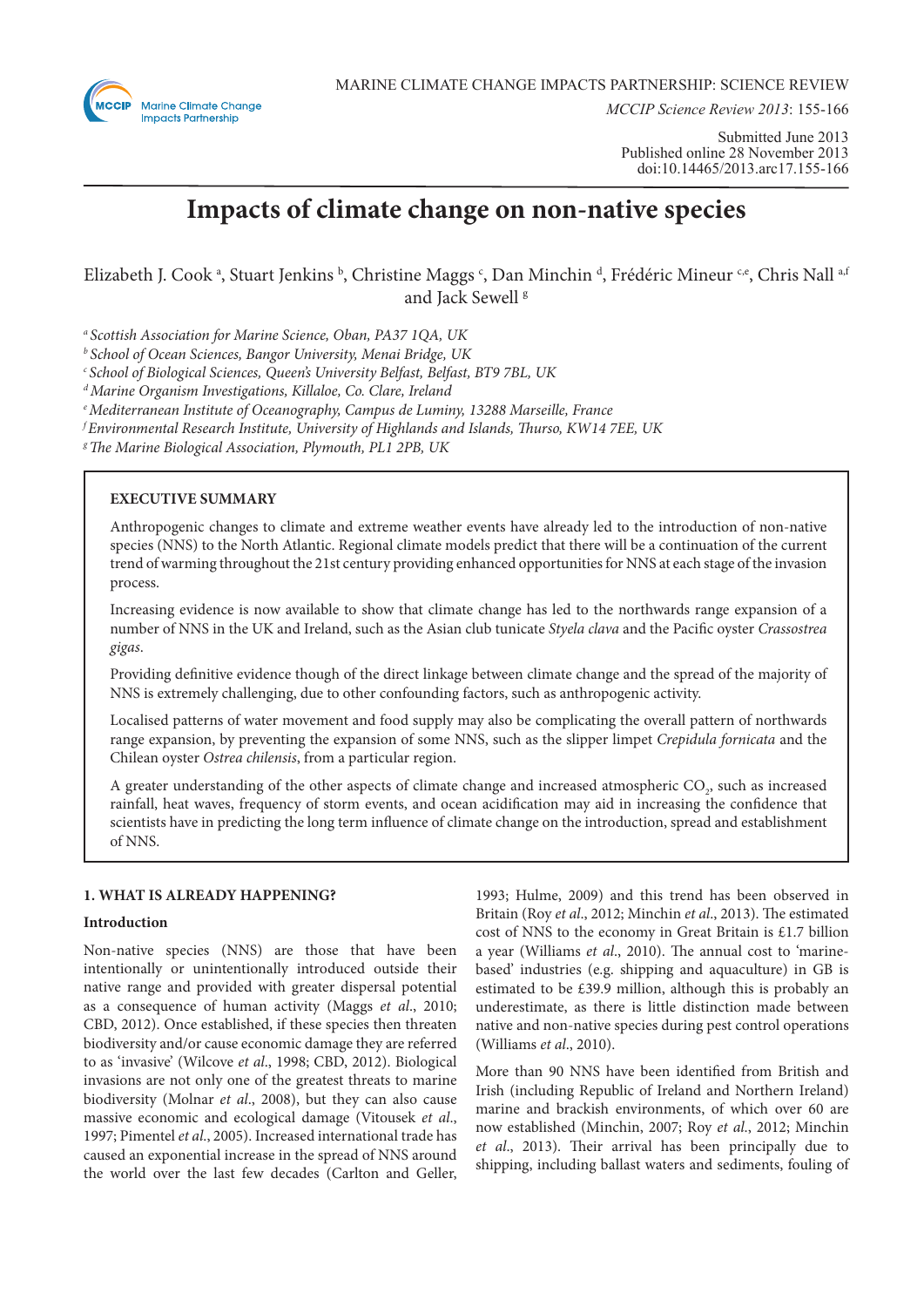

*MCCIP Science Review 2013*: 155-166

Submitted June 2013 Published online 28 November 2013 doi:10.14465/2013.arc17.155-166

# **Impacts of climate change on non-native species**

Elizabeth J. Cook <sup>a</sup>, Stuart Jenkins <sup>b</sup>, Christine Maggs <sup>c</sup>, Dan Minchin <sup>d</sup>, Frédéric Mineur <sup>c,e</sup>, Chris Nall <sup>a,t</sup> and Jack Sewell<sup>8</sup>

*a Scottish Association for Marine Science, Oban, PA37 1QA, UK*

*b School of Ocean Sciences, Bangor University, Menai Bridge, UK*

*c School of Biological Sciences, Queen's University Belfast, Belfast, BT9 7BL, UK*

*d Marine Organism Investigations, Killaloe, Co. Clare, Ireland*

*e Mediterranean Institute of Oceanography, Campus de Luminy, 13288 Marseille, France*

*f Environmental Research Institute, University of Highlands and Islands, Thurso, KW14 7EE, UK*

*g The Marine Biological Association, Plymouth, PL1 2PB, UK*

# **EXECUTIVE SUMMARY**

Anthropogenic changes to climate and extreme weather events have already led to the introduction of non-native species (NNS) to the North Atlantic. Regional climate models predict that there will be a continuation of the current trend of warming throughout the 21st century providing enhanced opportunities for NNS at each stage of the invasion process.

Increasing evidence is now available to show that climate change has led to the northwards range expansion of a number of NNS in the UK and Ireland, such as the Asian club tunicate *Styela clava* and the Pacific oyster *Crassostrea gigas*.

Providing definitive evidence though of the direct linkage between climate change and the spread of the majority of NNS is extremely challenging, due to other confounding factors, such as anthropogenic activity.

Localised patterns of water movement and food supply may also be complicating the overall pattern of northwards range expansion, by preventing the expansion of some NNS, such as the slipper limpet *Crepidula fornicata* and the Chilean oyster *Ostrea chilensis*, from a particular region.

A greater understanding of the other aspects of climate change and increased atmospheric  $\mathrm{CO}_2^{}$ , such as increased rainfall, heat waves, frequency of storm events, and ocean acidification may aid in increasing the confidence that scientists have in predicting the long term influence of climate change on the introduction, spread and establishment of NNS.

# **1. WHAT IS ALREADY HAPPENING?**

# **Introduction**

Non-native species (NNS) are those that have been intentionally or unintentionally introduced outside their native range and provided with greater dispersal potential as a consequence of human activity (Maggs *et al*., 2010; CBD, 2012). Once established, if these species then threaten biodiversity and/or cause economic damage they are referred to as 'invasive' (Wilcove *et al*., 1998; CBD, 2012). Biological invasions are not only one of the greatest threats to marine biodiversity (Molnar *et al*., 2008), but they can also cause massive economic and ecological damage (Vitousek *et al*., 1997; Pimentel *et al*., 2005). Increased international trade has caused an exponential increase in the spread of NNS around the world over the last few decades (Carlton and Geller,

1993; Hulme, 2009) and this trend has been observed in Britain (Roy *et al*., 2012; Minchin *et al*., 2013). The estimated cost of NNS to the economy in Great Britain is £1.7 billion a year (Williams *et al*., 2010). The annual cost to 'marinebased' industries (e.g. shipping and aquaculture) in GB is estimated to be £39.9 million, although this is probably an underestimate, as there is little distinction made between native and non-native species during pest control operations (Williams *et al*., 2010).

More than 90 NNS have been identified from British and Irish (including Republic of Ireland and Northern Ireland) marine and brackish environments, of which over 60 are now established (Minchin, 2007; Roy *et al*., 2012; Minchin *et al*., 2013). Their arrival has been principally due to shipping, including ballast waters and sediments, fouling of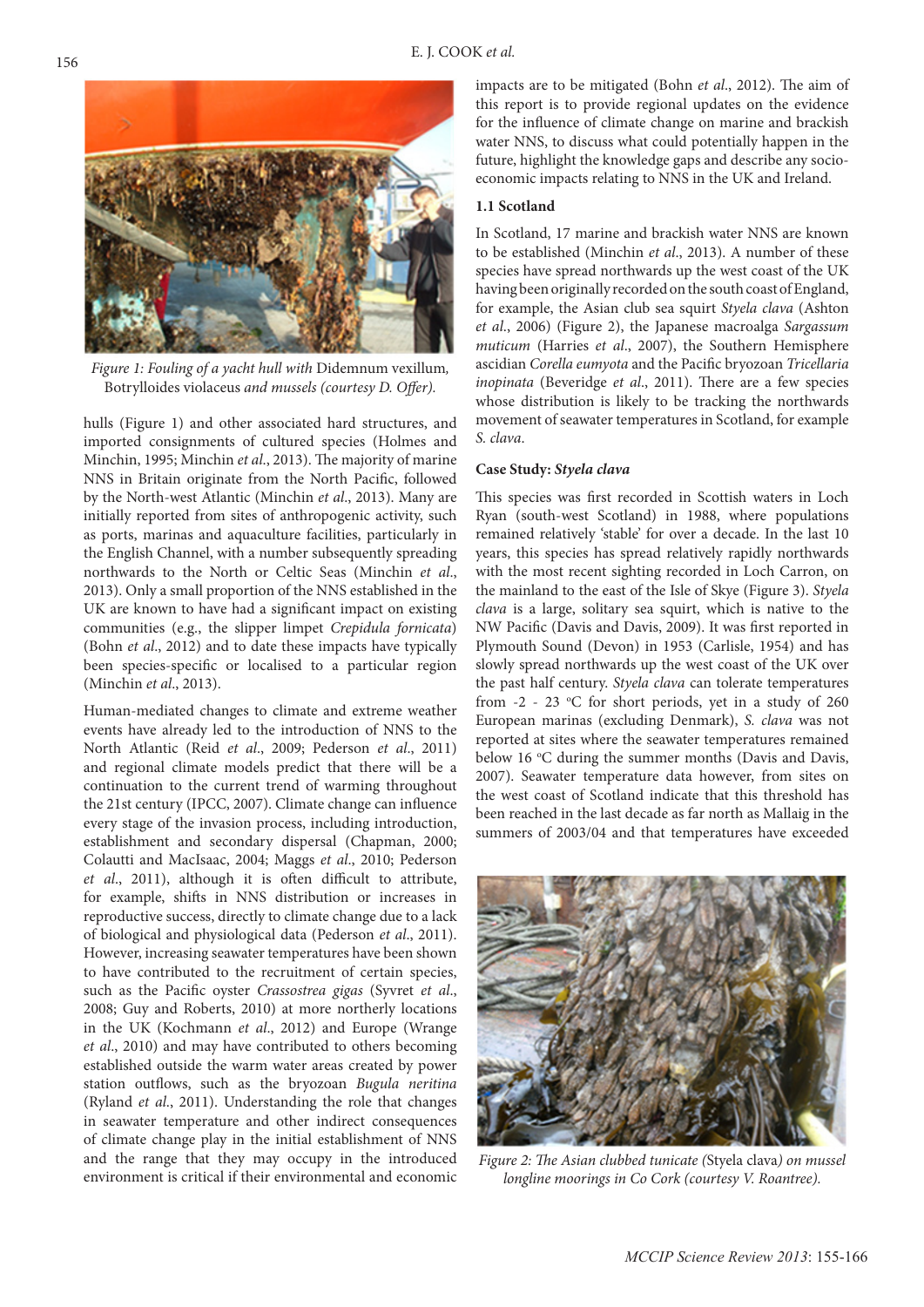

*Figure 1: Fouling of a yacht hull with* Didemnum vexillum*,*  Botrylloides violaceus *and mussels (courtesy D. Offer).*

hulls (Figure 1) and other associated hard structures, and imported consignments of cultured species (Holmes and Minchin, 1995; Minchin *et al*., 2013). The majority of marine NNS in Britain originate from the North Pacific, followed by the North-west Atlantic (Minchin *et al*., 2013). Many are initially reported from sites of anthropogenic activity, such as ports, marinas and aquaculture facilities, particularly in the English Channel, with a number subsequently spreading northwards to the North or Celtic Seas (Minchin *et al*., 2013). Only a small proportion of the NNS established in the UK are known to have had a significant impact on existing communities (e.g., the slipper limpet *Crepidula fornicata*) (Bohn *et al*., 2012) and to date these impacts have typically been species-specific or localised to a particular region (Minchin *et al*., 2013).

Human-mediated changes to climate and extreme weather events have already led to the introduction of NNS to the North Atlantic (Reid *et al*., 2009; Pederson *et al*., 2011) and regional climate models predict that there will be a continuation to the current trend of warming throughout the 21st century (IPCC, 2007). Climate change can influence every stage of the invasion process, including introduction, establishment and secondary dispersal (Chapman, 2000; Colautti and MacIsaac, 2004; Maggs *et al*., 2010; Pederson *et al*., 2011), although it is often difficult to attribute, for example, shifts in NNS distribution or increases in reproductive success, directly to climate change due to a lack of biological and physiological data (Pederson *et al*., 2011). However, increasing seawater temperatures have been shown to have contributed to the recruitment of certain species, such as the Pacific oyster *Crassostrea gigas* (Syvret *et al*., 2008; Guy and Roberts, 2010) at more northerly locations in the UK (Kochmann *et al*., 2012) and Europe (Wrange *et al*., 2010) and may have contributed to others becoming established outside the warm water areas created by power station outflows, such as the bryozoan *Bugula neritina* (Ryland *et al*., 2011). Understanding the role that changes in seawater temperature and other indirect consequences of climate change play in the initial establishment of NNS and the range that they may occupy in the introduced environment is critical if their environmental and economic impacts are to be mitigated (Bohn *et al*., 2012). The aim of this report is to provide regional updates on the evidence for the influence of climate change on marine and brackish water NNS, to discuss what could potentially happen in the future, highlight the knowledge gaps and describe any socioeconomic impacts relating to NNS in the UK and Ireland.

## **1.1 Scotland**

In Scotland, 17 marine and brackish water NNS are known to be established (Minchin *et al*., 2013). A number of these species have spread northwards up the west coast of the UK having been originally recorded on the south coast of England, for example, the Asian club sea squirt *Styela clava* (Ashton *et al*., 2006) (Figure 2), the Japanese macroalga *Sargassum muticum* (Harries *et al*., 2007), the Southern Hemisphere ascidian *Corella eumyota* and the Pacific bryozoan *Tricellaria inopinata* (Beveridge *et al*., 2011). There are a few species whose distribution is likely to be tracking the northwards movement of seawater temperatures in Scotland, for example *S. clava*.

# **Case Study:** *Styela clava*

This species was first recorded in Scottish waters in Loch Ryan (south-west Scotland) in 1988, where populations remained relatively 'stable' for over a decade. In the last 10 years, this species has spread relatively rapidly northwards with the most recent sighting recorded in Loch Carron, on the mainland to the east of the Isle of Skye (Figure 3). *Styela clava* is a large, solitary sea squirt, which is native to the NW Pacific (Davis and Davis, 2009). It was first reported in Plymouth Sound (Devon) in 1953 (Carlisle, 1954) and has slowly spread northwards up the west coast of the UK over the past half century. *Styela clava* can tolerate temperatures from  $-2$  - 23 °C for short periods, yet in a study of 260 European marinas (excluding Denmark), *S. clava* was not reported at sites where the seawater temperatures remained below 16 °C during the summer months (Davis and Davis, 2007). Seawater temperature data however, from sites on the west coast of Scotland indicate that this threshold has been reached in the last decade as far north as Mallaig in the summers of 2003/04 and that temperatures have exceeded



*Figure 2: The Asian clubbed tunicate (*Styela clava*) on mussel longline moorings in Co Cork (courtesy V. Roantree).*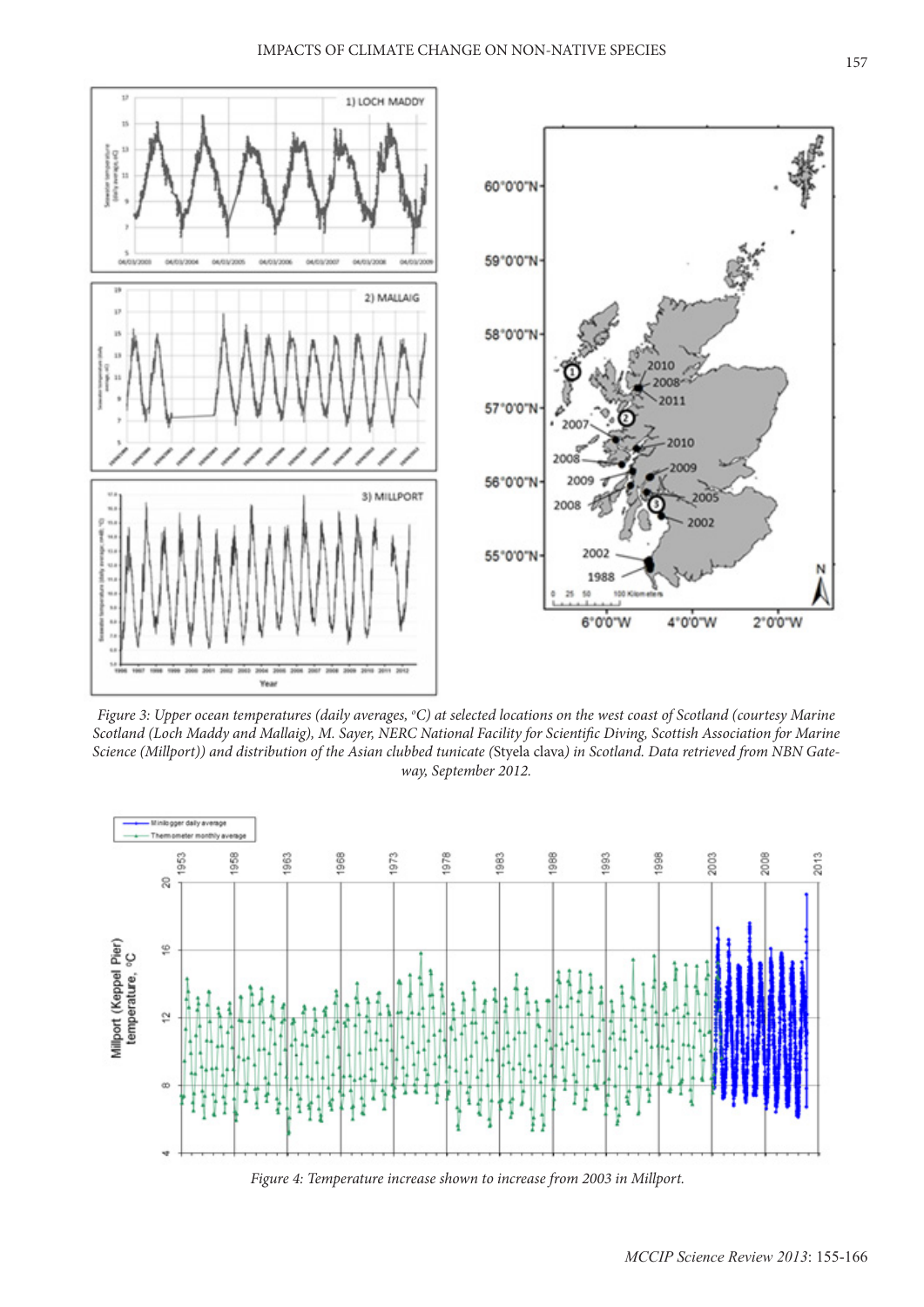

Figure 3: Upper ocean temperatures (daily averages, °C) at selected locations on the west coast of Scotland (courtesy Marine *Scotland (Loch Maddy and Mallaig), M. Sayer, NERC National Facility for Scientific Diving, Scottish Association for Marine Science (Millport)) and distribution of the Asian clubbed tunicate (*Styela clava*) in Scotland. Data retrieved from NBN Gateway, September 2012.*



*Figure 4: Temperature increase shown to increase from 2003 in Millport.*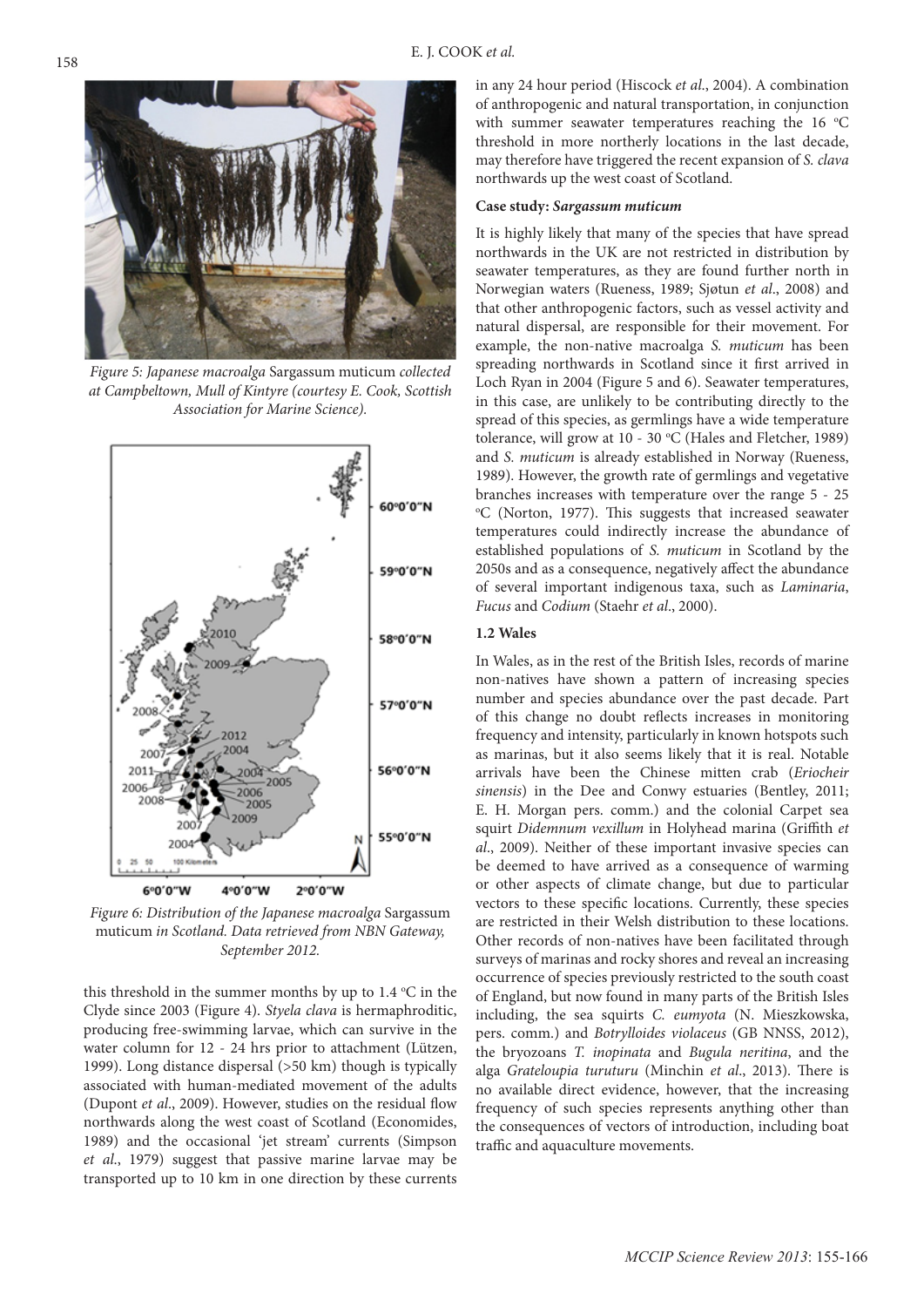

*Figure 5: Japanese macroalga* Sargassum muticum *collected at Campbeltown, Mull of Kintyre (courtesy E. Cook, Scottish Association for Marine Science).*



*Figure 6: Distribution of the Japanese macroalga* Sargassum muticum *in Scotland. Data retrieved from NBN Gateway, September 2012.*

this threshold in the summer months by up to  $1.4 \text{ }^{\circ}\text{C}$  in the Clyde since 2003 (Figure 4). *Styela clava* is hermaphroditic, producing free-swimming larvae, which can survive in the water column for 12 - 24 hrs prior to attachment (Lützen, 1999). Long distance dispersal (>50 km) though is typically associated with human-mediated movement of the adults (Dupont *et al*., 2009). However, studies on the residual flow northwards along the west coast of Scotland (Economides, 1989) and the occasional 'jet stream' currents (Simpson *et al*., 1979) suggest that passive marine larvae may be transported up to 10 km in one direction by these currents

in any 24 hour period (Hiscock *et al*., 2004). A combination of anthropogenic and natural transportation, in conjunction with summer seawater temperatures reaching the  $16 °C$ threshold in more northerly locations in the last decade, may therefore have triggered the recent expansion of *S. clava*  northwards up the west coast of Scotland.

## **Case study:** *Sargassum muticum*

It is highly likely that many of the species that have spread northwards in the UK are not restricted in distribution by seawater temperatures, as they are found further north in Norwegian waters (Rueness, 1989; Sjøtun *et al*., 2008) and that other anthropogenic factors, such as vessel activity and natural dispersal, are responsible for their movement. For example, the non-native macroalga *S. muticum* has been spreading northwards in Scotland since it first arrived in Loch Ryan in 2004 (Figure 5 and 6). Seawater temperatures, in this case, are unlikely to be contributing directly to the spread of this species, as germlings have a wide temperature tolerance, will grow at 10 - 30 °C (Hales and Fletcher, 1989) and *S. muticum* is already established in Norway (Rueness, 1989). However, the growth rate of germlings and vegetative branches increases with temperature over the range 5 - 25 <sup>o</sup>C (Norton, 1977). This suggests that increased seawater temperatures could indirectly increase the abundance of established populations of *S. muticum* in Scotland by the 2050s and as a consequence, negatively affect the abundance of several important indigenous taxa, such as *Laminaria*, *Fucus* and *Codium* (Staehr *et al*., 2000).

# **1.2 Wales**

In Wales, as in the rest of the British Isles, records of marine non-natives have shown a pattern of increasing species number and species abundance over the past decade. Part of this change no doubt reflects increases in monitoring frequency and intensity, particularly in known hotspots such as marinas, but it also seems likely that it is real. Notable arrivals have been the Chinese mitten crab (*Eriocheir sinensis*) in the Dee and Conwy estuaries (Bentley, 2011; E. H. Morgan pers. comm.) and the colonial Carpet sea squirt *Didemnum vexillum* in Holyhead marina (Griffith *et al*., 2009). Neither of these important invasive species can be deemed to have arrived as a consequence of warming or other aspects of climate change, but due to particular vectors to these specific locations. Currently, these species are restricted in their Welsh distribution to these locations. Other records of non-natives have been facilitated through surveys of marinas and rocky shores and reveal an increasing occurrence of species previously restricted to the south coast of England, but now found in many parts of the British Isles including, the sea squirts *C. eumyota* (N. Mieszkowska, pers. comm.) and *Botrylloides violaceus* (GB NNSS, 2012), the bryozoans *T. inopinata* and *Bugula neritina*, and the alga *Grateloupia turuturu* (Minchin *et al*., 2013). There is no available direct evidence, however, that the increasing frequency of such species represents anything other than the consequences of vectors of introduction, including boat traffic and aquaculture movements.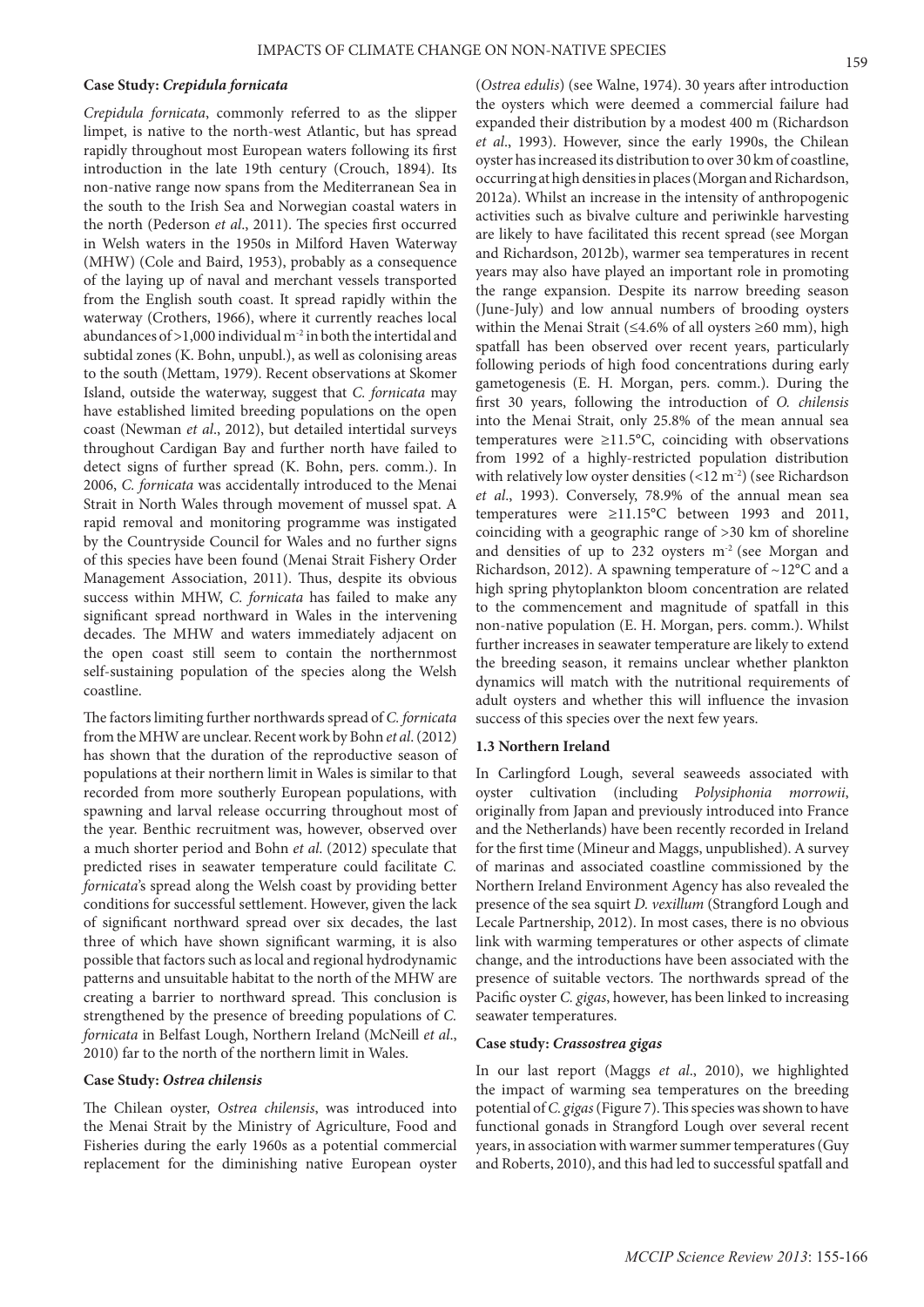#### **Case Study:** *Crepidula fornicata*

*Crepidula fornicata*, commonly referred to as the slipper limpet, is native to the north-west Atlantic, but has spread rapidly throughout most European waters following its first introduction in the late 19th century (Crouch, 1894). Its non-native range now spans from the Mediterranean Sea in the south to the Irish Sea and Norwegian coastal waters in the north (Pederson *et al*., 2011). The species first occurred in Welsh waters in the 1950s in Milford Haven Waterway (MHW) (Cole and Baird, 1953), probably as a consequence of the laying up of naval and merchant vessels transported from the English south coast. It spread rapidly within the waterway (Crothers, 1966), where it currently reaches local abundances of >1,000 individual m-2 in both the intertidal and subtidal zones (K. Bohn, unpubl.), as well as colonising areas to the south (Mettam, 1979). Recent observations at Skomer Island, outside the waterway, suggest that *C. fornicata* may have established limited breeding populations on the open coast (Newman *et al*., 2012), but detailed intertidal surveys throughout Cardigan Bay and further north have failed to detect signs of further spread (K. Bohn, pers. comm.). In 2006, *C. fornicata* was accidentally introduced to the Menai Strait in North Wales through movement of mussel spat. A rapid removal and monitoring programme was instigated by the Countryside Council for Wales and no further signs of this species have been found (Menai Strait Fishery Order Management Association, 2011). Thus, despite its obvious success within MHW, *C. fornicata* has failed to make any significant spread northward in Wales in the intervening decades. The MHW and waters immediately adjacent on the open coast still seem to contain the northernmost self-sustaining population of the species along the Welsh coastline.

The factors limiting further northwards spread of *C. fornicata* from the MHW are unclear. Recent work by Bohn *et al*. (2012) has shown that the duration of the reproductive season of populations at their northern limit in Wales is similar to that recorded from more southerly European populations, with spawning and larval release occurring throughout most of the year. Benthic recruitment was, however, observed over a much shorter period and Bohn *et al*. (2012) speculate that predicted rises in seawater temperature could facilitate *C. fornicata*'s spread along the Welsh coast by providing better conditions for successful settlement. However, given the lack of significant northward spread over six decades, the last three of which have shown significant warming, it is also possible that factors such as local and regional hydrodynamic patterns and unsuitable habitat to the north of the MHW are creating a barrier to northward spread. This conclusion is strengthened by the presence of breeding populations of *C. fornicata* in Belfast Lough, Northern Ireland (McNeill *et al*., 2010) far to the north of the northern limit in Wales.

## **Case Study:** *Ostrea chilensis*

The Chilean oyster, *Ostrea chilensis*, was introduced into the Menai Strait by the Ministry of Agriculture, Food and Fisheries during the early 1960s as a potential commercial replacement for the diminishing native European oyster

(*Ostrea edulis*) (see Walne, 1974). 30 years after introduction the oysters which were deemed a commercial failure had expanded their distribution by a modest 400 m (Richardson *et al*., 1993). However, since the early 1990s, the Chilean oyster has increased its distribution to over 30 km of coastline, occurring at high densities in places (Morgan and Richardson, 2012a). Whilst an increase in the intensity of anthropogenic activities such as bivalve culture and periwinkle harvesting are likely to have facilitated this recent spread (see Morgan and Richardson, 2012b), warmer sea temperatures in recent years may also have played an important role in promoting the range expansion. Despite its narrow breeding season (June-July) and low annual numbers of brooding oysters within the Menai Strait (≤4.6% of all oysters ≥60 mm), high spatfall has been observed over recent years, particularly following periods of high food concentrations during early gametogenesis (E. H. Morgan, pers. comm.). During the first 30 years, following the introduction of *O. chilensis* into the Menai Strait, only 25.8% of the mean annual sea temperatures were  $\geq 11.5^{\circ}$ C, coinciding with observations from 1992 of a highly-restricted population distribution with relatively low oyster densities  $(<12 \text{ m}^2)$  (see Richardson *et al*., 1993). Conversely, 78.9% of the annual mean sea temperatures were ≥11.15°C between 1993 and 2011, coinciding with a geographic range of >30 km of shoreline and densities of up to 232 oysters  $m<sup>2</sup>$  (see Morgan and Richardson, 2012). A spawning temperature of  $\sim$ 12 $\degree$ C and a high spring phytoplankton bloom concentration are related to the commencement and magnitude of spatfall in this non-native population (E. H. Morgan, pers. comm.). Whilst further increases in seawater temperature are likely to extend the breeding season, it remains unclear whether plankton dynamics will match with the nutritional requirements of adult oysters and whether this will influence the invasion success of this species over the next few years.

## **1.3 Northern Ireland**

In Carlingford Lough, several seaweeds associated with oyster cultivation (including *Polysiphonia morrowii*, originally from Japan and previously introduced into France and the Netherlands) have been recently recorded in Ireland for the first time (Mineur and Maggs, unpublished). A survey of marinas and associated coastline commissioned by the Northern Ireland Environment Agency has also revealed the presence of the sea squirt *D. vexillum* (Strangford Lough and Lecale Partnership, 2012). In most cases, there is no obvious link with warming temperatures or other aspects of climate change, and the introductions have been associated with the presence of suitable vectors. The northwards spread of the Pacific oyster *C. gigas*, however, has been linked to increasing seawater temperatures.

#### **Case study:** *Crassostrea gigas*

In our last report (Maggs *et al*., 2010), we highlighted the impact of warming sea temperatures on the breeding potential of *C. gigas* (Figure 7). This species was shown to have functional gonads in Strangford Lough over several recent years, in association with warmer summer temperatures (Guy and Roberts, 2010), and this had led to successful spatfall and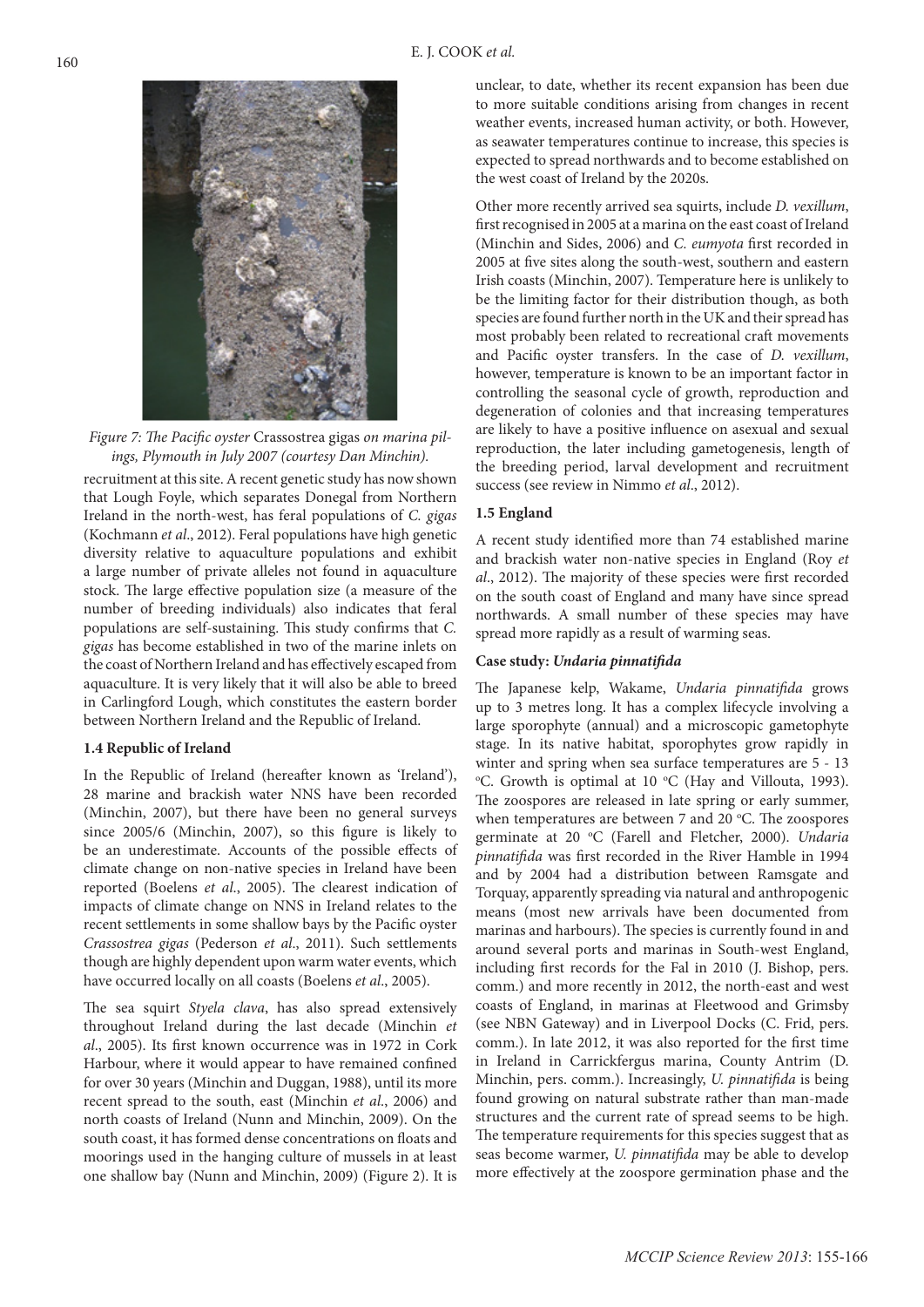

*Figure 7: The Pacific oyster* Crassostrea gigas *on marina pilings, Plymouth in July 2007 (courtesy Dan Minchin).*

recruitment at this site. A recent genetic study has now shown that Lough Foyle, which separates Donegal from Northern Ireland in the north-west, has feral populations of *C. gigas* (Kochmann *et al*., 2012). Feral populations have high genetic diversity relative to aquaculture populations and exhibit a large number of private alleles not found in aquaculture stock. The large effective population size (a measure of the number of breeding individuals) also indicates that feral populations are self-sustaining. This study confirms that *C. gigas* has become established in two of the marine inlets on the coast of Northern Ireland and has effectively escaped from aquaculture. It is very likely that it will also be able to breed in Carlingford Lough, which constitutes the eastern border between Northern Ireland and the Republic of Ireland.

#### **1.4 Republic of Ireland**

In the Republic of Ireland (hereafter known as 'Ireland'), 28 marine and brackish water NNS have been recorded (Minchin, 2007), but there have been no general surveys since 2005/6 (Minchin, 2007), so this figure is likely to be an underestimate. Accounts of the possible effects of climate change on non-native species in Ireland have been reported (Boelens *et al*., 2005). The clearest indication of impacts of climate change on NNS in Ireland relates to the recent settlements in some shallow bays by the Pacific oyster *Crassostrea gigas* (Pederson *et al*., 2011). Such settlements though are highly dependent upon warm water events, which have occurred locally on all coasts (Boelens *et al*., 2005).

The sea squirt *Styela clava*, has also spread extensively throughout Ireland during the last decade (Minchin *et al*., 2005). Its first known occurrence was in 1972 in Cork Harbour, where it would appear to have remained confined for over 30 years (Minchin and Duggan, 1988), until its more recent spread to the south, east (Minchin *et al*., 2006) and north coasts of Ireland (Nunn and Minchin, 2009). On the south coast, it has formed dense concentrations on floats and moorings used in the hanging culture of mussels in at least one shallow bay (Nunn and Minchin, 2009) (Figure 2). It is

unclear, to date, whether its recent expansion has been due to more suitable conditions arising from changes in recent weather events, increased human activity, or both. However, as seawater temperatures continue to increase, this species is expected to spread northwards and to become established on the west coast of Ireland by the 2020s.

Other more recently arrived sea squirts, include *D. vexillum*, first recognised in 2005 at a marina on the east coast of Ireland (Minchin and Sides, 2006) and *C. eumyota* first recorded in 2005 at five sites along the south-west, southern and eastern Irish coasts (Minchin, 2007). Temperature here is unlikely to be the limiting factor for their distribution though, as both species are found further north in the UK and their spread has most probably been related to recreational craft movements and Pacific oyster transfers. In the case of *D. vexillum*, however, temperature is known to be an important factor in controlling the seasonal cycle of growth, reproduction and degeneration of colonies and that increasing temperatures are likely to have a positive influence on asexual and sexual reproduction, the later including gametogenesis, length of the breeding period, larval development and recruitment success (see review in Nimmo *et al*., 2012).

## **1.5 England**

A recent study identified more than 74 established marine and brackish water non-native species in England (Roy *et al*., 2012). The majority of these species were first recorded on the south coast of England and many have since spread northwards. A small number of these species may have spread more rapidly as a result of warming seas.

#### **Case study:** *Undaria pinnatifida*

The Japanese kelp, Wakame, *Undaria pinnatifida* grows up to 3 metres long. It has a complex lifecycle involving a large sporophyte (annual) and a microscopic gametophyte stage. In its native habitat, sporophytes grow rapidly in winter and spring when sea surface temperatures are 5 - 13 <sup>o</sup>C. Growth is optimal at 10 °C (Hay and Villouta, 1993). The zoospores are released in late spring or early summer, when temperatures are between 7 and 20 °C. The zoospores germinate at 20 °C (Farell and Fletcher, 2000). *Undaria pinnatifida* was first recorded in the River Hamble in 1994 and by 2004 had a distribution between Ramsgate and Torquay, apparently spreading via natural and anthropogenic means (most new arrivals have been documented from marinas and harbours). The species is currently found in and around several ports and marinas in South-west England, including first records for the Fal in 2010 (J. Bishop, pers. comm.) and more recently in 2012, the north-east and west coasts of England, in marinas at Fleetwood and Grimsby (see NBN Gateway) and in Liverpool Docks (C. Frid, pers. comm.). In late 2012, it was also reported for the first time in Ireland in Carrickfergus marina, County Antrim (D. Minchin, pers. comm.). Increasingly, *U. pinnatifida* is being found growing on natural substrate rather than man-made structures and the current rate of spread seems to be high. The temperature requirements for this species suggest that as seas become warmer, *U. pinnatifida* may be able to develop more effectively at the zoospore germination phase and the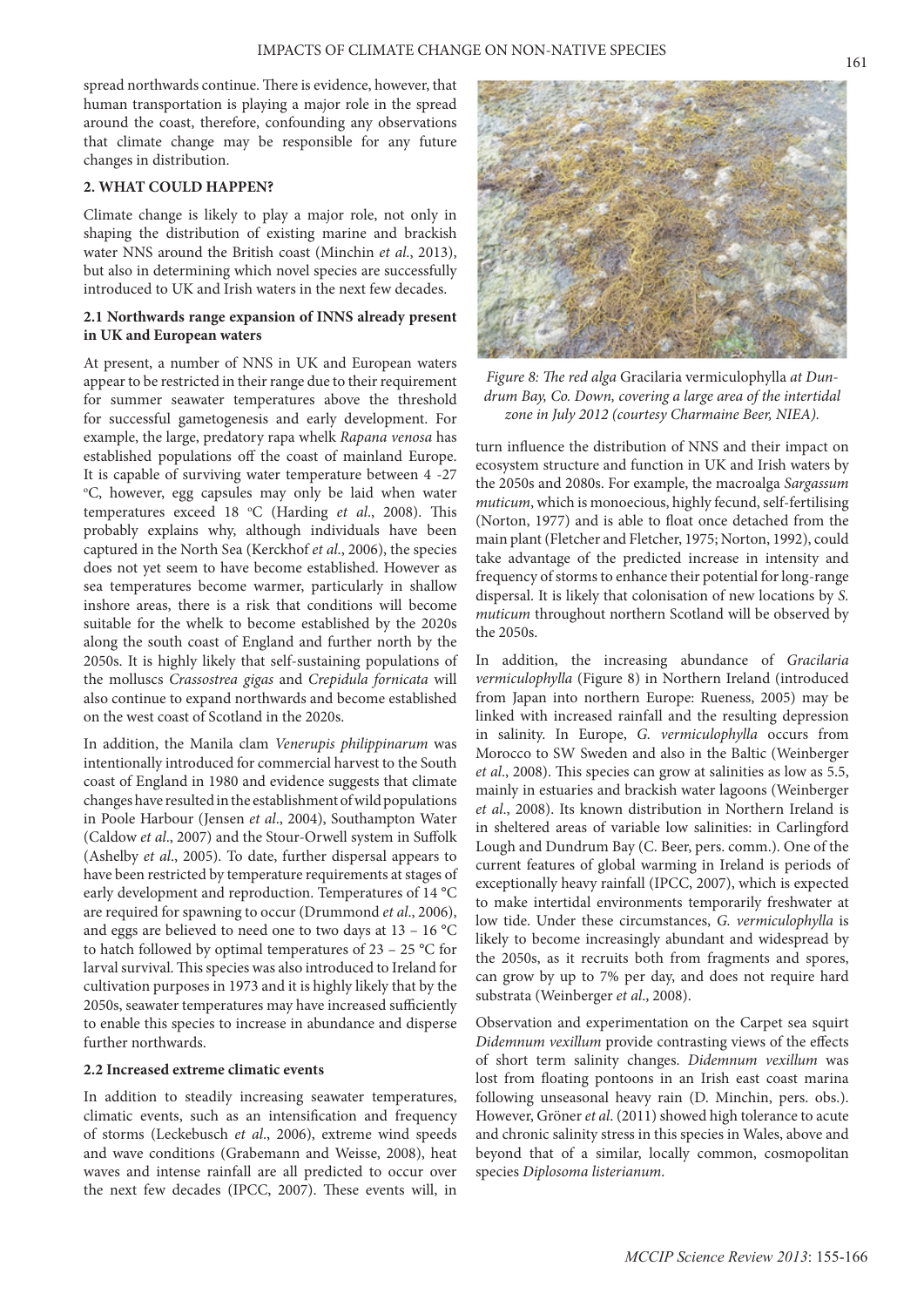spread northwards continue. There is evidence, however, that human transportation is playing a major role in the spread around the coast, therefore, confounding any observations that climate change may be responsible for any future changes in distribution.

# **2. WHAT COULD HAPPEN?**

Climate change is likely to play a major role, not only in shaping the distribution of existing marine and brackish water NNS around the British coast (Minchin *et al*., 2013), but also in determining which novel species are successfully introduced to UK and Irish waters in the next few decades.

# **2.1 Northwards range expansion of INNS already present in UK and European waters**

At present, a number of NNS in UK and European waters appear to be restricted in their range due to their requirement for summer seawater temperatures above the threshold for successful gametogenesis and early development. For example, the large, predatory rapa whelk *Rapana venosa* has established populations off the coast of mainland Europe. It is capable of surviving water temperature between 4 -27 o C, however, egg capsules may only be laid when water temperatures exceed 18 °C (Harding *et al.*, 2008). This probably explains why, although individuals have been captured in the North Sea (Kerckhof *et al*., 2006), the species does not yet seem to have become established. However as sea temperatures become warmer, particularly in shallow inshore areas, there is a risk that conditions will become suitable for the whelk to become established by the 2020s along the south coast of England and further north by the 2050s. It is highly likely that self-sustaining populations of the molluscs *Crassostrea gigas* and *Crepidula fornicata* will also continue to expand northwards and become established on the west coast of Scotland in the 2020s.

In addition, the Manila clam *Venerupis philippinarum* was intentionally introduced for commercial harvest to the South coast of England in 1980 and evidence suggests that climate changes have resulted in the establishment of wild populations in Poole Harbour (Jensen *et al*., 2004), Southampton Water (Caldow *et al*., 2007) and the Stour-Orwell system in Suffolk (Ashelby *et al*., 2005). To date, further dispersal appears to have been restricted by temperature requirements at stages of early development and reproduction. Temperatures of 14 °C are required for spawning to occur (Drummond *et al*., 2006), and eggs are believed to need one to two days at 13 – 16 °C to hatch followed by optimal temperatures of 23 – 25 °C for larval survival. This species was also introduced to Ireland for cultivation purposes in 1973 and it is highly likely that by the 2050s, seawater temperatures may have increased sufficiently to enable this species to increase in abundance and disperse further northwards.

## **2.2 Increased extreme climatic events**

In addition to steadily increasing seawater temperatures, climatic events, such as an intensification and frequency of storms (Leckebusch *et al*., 2006), extreme wind speeds and wave conditions (Grabemann and Weisse, 2008), heat waves and intense rainfall are all predicted to occur over the next few decades (IPCC, 2007). These events will, in



*Figure 8: The red alga* Gracilaria vermiculophylla *at Dundrum Bay, Co. Down, covering a large area of the intertidal zone in July 2012 (courtesy Charmaine Beer, NIEA).*

turn influence the distribution of NNS and their impact on ecosystem structure and function in UK and Irish waters by the 2050s and 2080s. For example, the macroalga *Sargassum muticum*, which is monoecious, highly fecund, self-fertilising (Norton, 1977) and is able to float once detached from the main plant (Fletcher and Fletcher, 1975; Norton, 1992), could take advantage of the predicted increase in intensity and frequency of storms to enhance their potential for long-range dispersal. It is likely that colonisation of new locations by *S. muticum* throughout northern Scotland will be observed by the 2050s.

In addition, the increasing abundance of *Gracilaria vermiculophylla* (Figure 8) in Northern Ireland (introduced from Japan into northern Europe: Rueness, 2005) may be linked with increased rainfall and the resulting depression in salinity. In Europe, *G. vermiculophylla* occurs from Morocco to SW Sweden and also in the Baltic (Weinberger *et al*., 2008). This species can grow at salinities as low as 5.5, mainly in estuaries and brackish water lagoons (Weinberger *et al*., 2008). Its known distribution in Northern Ireland is in sheltered areas of variable low salinities: in Carlingford Lough and Dundrum Bay (C. Beer, pers. comm.). One of the current features of global warming in Ireland is periods of exceptionally heavy rainfall (IPCC, 2007), which is expected to make intertidal environments temporarily freshwater at low tide. Under these circumstances, *G. vermiculophylla* is likely to become increasingly abundant and widespread by the 2050s, as it recruits both from fragments and spores, can grow by up to 7% per day, and does not require hard substrata (Weinberger *et al*., 2008).

Observation and experimentation on the Carpet sea squirt *Didemnum vexillum* provide contrasting views of the effects of short term salinity changes. *Didemnum vexillum* was lost from floating pontoons in an Irish east coast marina following unseasonal heavy rain (D. Minchin, pers. obs.). However, Gröner *et al*. (2011) showed high tolerance to acute and chronic salinity stress in this species in Wales, above and beyond that of a similar, locally common, cosmopolitan species *Diplosoma listerianum*.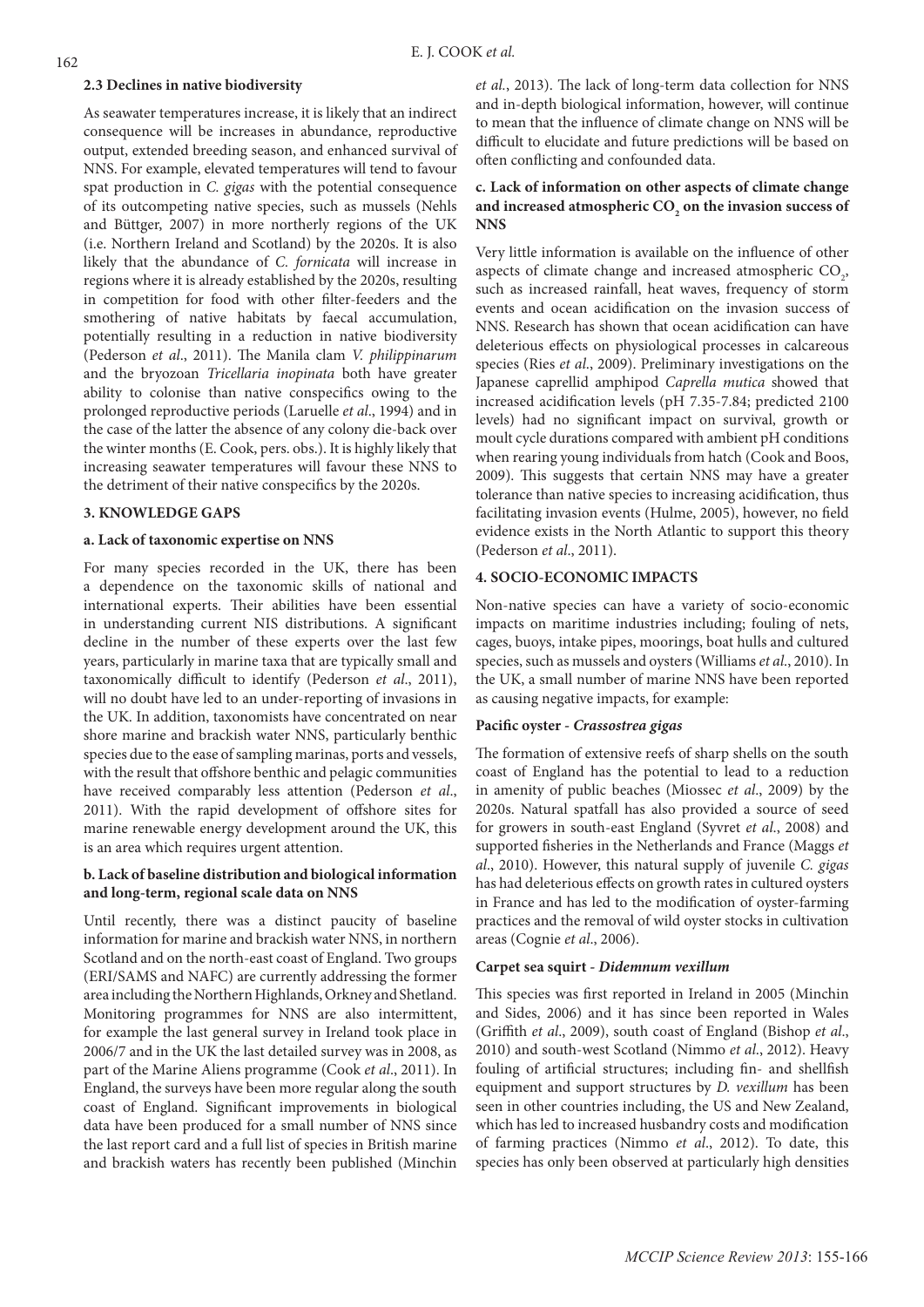## **2.3 Declines in native biodiversity**

As seawater temperatures increase, it is likely that an indirect consequence will be increases in abundance, reproductive output, extended breeding season, and enhanced survival of NNS. For example, elevated temperatures will tend to favour spat production in *C. gigas* with the potential consequence of its outcompeting native species, such as mussels (Nehls and Büttger, 2007) in more northerly regions of the UK (i.e. Northern Ireland and Scotland) by the 2020s. It is also likely that the abundance of *C. fornicata* will increase in regions where it is already established by the 2020s, resulting in competition for food with other filter-feeders and the smothering of native habitats by faecal accumulation, potentially resulting in a reduction in native biodiversity (Pederson *et al*., 2011). The Manila clam *V. philippinarum* and the bryozoan *Tricellaria inopinata* both have greater ability to colonise than native conspecifics owing to the prolonged reproductive periods (Laruelle *et al*., 1994) and in the case of the latter the absence of any colony die-back over the winter months (E. Cook, pers. obs.). It is highly likely that increasing seawater temperatures will favour these NNS to the detriment of their native conspecifics by the 2020s.

# **3. KNOWLEDGE GAPS**

# **a. Lack of taxonomic expertise on NNS**

For many species recorded in the UK, there has been a dependence on the taxonomic skills of national and international experts. Their abilities have been essential in understanding current NIS distributions. A significant decline in the number of these experts over the last few years, particularly in marine taxa that are typically small and taxonomically difficult to identify (Pederson *et al*., 2011), will no doubt have led to an under-reporting of invasions in the UK. In addition, taxonomists have concentrated on near shore marine and brackish water NNS, particularly benthic species due to the ease of sampling marinas, ports and vessels, with the result that offshore benthic and pelagic communities have received comparably less attention (Pederson *et al*., 2011). With the rapid development of offshore sites for marine renewable energy development around the UK, this is an area which requires urgent attention.

# **b. Lack of baseline distribution and biological information and long-term, regional scale data on NNS**

Until recently, there was a distinct paucity of baseline information for marine and brackish water NNS, in northern Scotland and on the north-east coast of England. Two groups (ERI/SAMS and NAFC) are currently addressing the former area including the Northern Highlands, Orkney and Shetland. Monitoring programmes for NNS are also intermittent, for example the last general survey in Ireland took place in 2006/7 and in the UK the last detailed survey was in 2008, as part of the Marine Aliens programme (Cook *et al*., 2011). In England, the surveys have been more regular along the south coast of England. Significant improvements in biological data have been produced for a small number of NNS since the last report card and a full list of species in British marine and brackish waters has recently been published (Minchin

*et al.*, 2013). The lack of long-term data collection for NNS and in-depth biological information, however, will continue to mean that the influence of climate change on NNS will be difficult to elucidate and future predictions will be based on often conflicting and confounded data.

# **c. Lack of information on other aspects of climate change**  and increased atmospheric  $\mathrm{CO}_2$  on the invasion success of **NNS**

Very little information is available on the influence of other aspects of climate change and increased atmospheric  $CO<sub>2</sub>$ , such as increased rainfall, heat waves, frequency of storm events and ocean acidification on the invasion success of NNS. Research has shown that ocean acidification can have deleterious effects on physiological processes in calcareous species (Ries *et al*., 2009). Preliminary investigations on the Japanese caprellid amphipod *Caprella mutica* showed that increased acidification levels (pH 7.35-7.84; predicted 2100 levels) had no significant impact on survival, growth or moult cycle durations compared with ambient pH conditions when rearing young individuals from hatch (Cook and Boos, 2009). This suggests that certain NNS may have a greater tolerance than native species to increasing acidification, thus facilitating invasion events (Hulme, 2005), however, no field evidence exists in the North Atlantic to support this theory (Pederson *et al*., 2011).

# **4. SOCIO-ECONOMIC IMPACTS**

Non-native species can have a variety of socio-economic impacts on maritime industries including; fouling of nets, cages, buoys, intake pipes, moorings, boat hulls and cultured species, such as mussels and oysters (Williams *et al*., 2010). In the UK, a small number of marine NNS have been reported as causing negative impacts, for example:

# **Pacific oyster -** *Crassostrea gigas*

The formation of extensive reefs of sharp shells on the south coast of England has the potential to lead to a reduction in amenity of public beaches (Miossec *et al*., 2009) by the 2020s. Natural spatfall has also provided a source of seed for growers in south-east England (Syvret *et al*., 2008) and supported fisheries in the Netherlands and France (Maggs *et al*., 2010). However, this natural supply of juvenile *C. gigas* has had deleterious effects on growth rates in cultured oysters in France and has led to the modification of oyster-farming practices and the removal of wild oyster stocks in cultivation areas (Cognie *et al*., 2006).

# **Carpet sea squirt -** *Didemnum vexillum*

This species was first reported in Ireland in 2005 (Minchin and Sides, 2006) and it has since been reported in Wales (Griffith *et al*., 2009), south coast of England (Bishop *et al*., 2010) and south-west Scotland (Nimmo *et al*., 2012). Heavy fouling of artificial structures; including fin- and shellfish equipment and support structures by *D. vexillum* has been seen in other countries including, the US and New Zealand, which has led to increased husbandry costs and modification of farming practices (Nimmo *et al*., 2012). To date, this species has only been observed at particularly high densities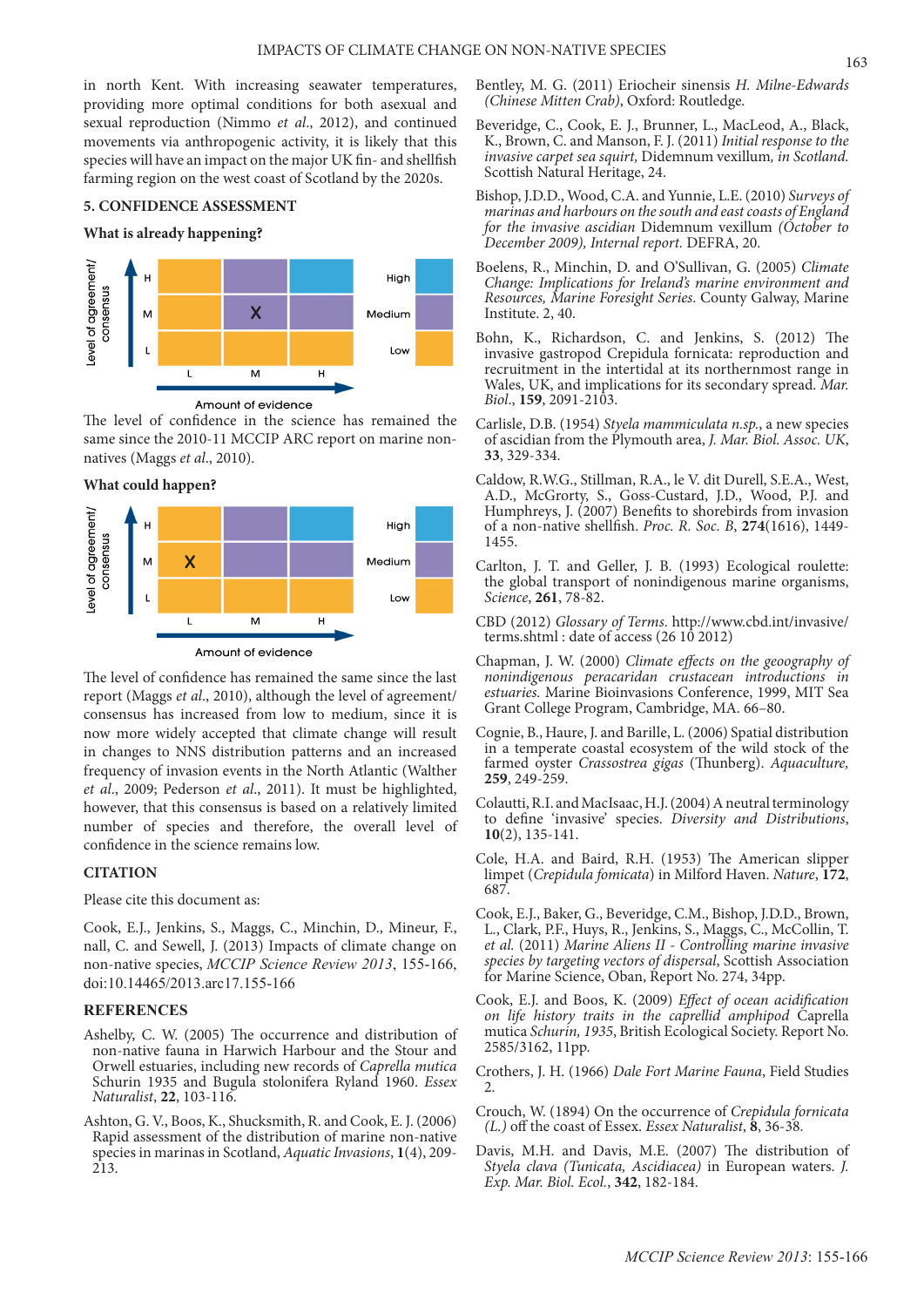in north Kent. With increasing seawater temperatures, providing more optimal conditions for both asexual and sexual reproduction (Nimmo *et al*., 2012), and continued movements via anthropogenic activity, it is likely that this species will have an impact on the major UK fin- and shellfish farming region on the west coast of Scotland by the 2020s.

## **5. CONFIDENCE ASSESSMENT**

#### **What is already happening?**



The level of confidence in the science has remained the same since the 2010-11 MCCIP ARC report on marine nonnatives (Maggs *et al*., 2010).

**What could happen?** 



The level of confidence has remained the same since the last report (Maggs *et al*., 2010), although the level of agreement/ consensus has increased from low to medium, since it is now more widely accepted that climate change will result in changes to NNS distribution patterns and an increased frequency of invasion events in the North Atlantic (Walther *et al*., 2009; Pederson *et al*., 2011). It must be highlighted, however, that this consensus is based on a relatively limited number of species and therefore, the overall level of confidence in the science remains low.

# **CITATION**

Please cite this document as:

Cook, E.J., Jenkins, S., Maggs, C., Minchin, D., Mineur, F., nall, C. and Sewell, J. (2013) Impacts of climate change on non-native species, *MCCIP Science Review 2013*, 155-166, doi:10.14465/2013.arc17.155-166

# **REFERENCES**

- Ashelby, C. W. (2005) The occurrence and distribution of non-native fauna in Harwich Harbour and the Stour and Orwell estuaries, including new records of *Caprella mutica* Schurin 1935 and Bugula stolonifera Ryland 1960. *Essex Naturalist*, **22**, 103-116.
- Ashton, G. V., Boos, K., Shucksmith, R. and Cook, E. J. (2006) Rapid assessment of the distribution of marine non-native species in marinas in Scotland, *Aquatic Invasions*, **1**(4), 209- 213.
- Bentley, M. G. (2011) Eriocheir sinensis *H. Milne-Edwards (Chinese Mitten Crab)*, Oxford: Routledge.
- Beveridge, C., Cook, E. J., Brunner, L., MacLeod, A., Black, K., Brown, C. and Manson, F. J. (2011) *Initial response to the invasive carpet sea squirt,* Didemnum vexillum*, in Scotland.* Scottish Natural Heritage, 24.
- Bishop, J.D.D., Wood, C.A. and Yunnie, L.E. (2010) *Surveys of marinas and harbours on the south and east coasts of England for the invasive ascidian* Didemnum vexillum *(October to December 2009), Internal report.* DEFRA, 20.
- Boelens, R., Minchin, D. and O'Sullivan, G. (2005) *Climate Change: Implications for Ireland's marine environment and Resources, Marine Foresight Series*. County Galway, Marine Institute. 2, 40.
- Bohn, K., Richardson, C. and Jenkins, S. (2012) The invasive gastropod Crepidula fornicata: reproduction and recruitment in the intertidal at its northernmost range in Wales, UK, and implications for its secondary spread. *Mar. Biol*., **159**, 2091-2103.
- Carlisle, D.B. (1954) *Styela mammiculata n.sp.*, a new species of ascidian from the Plymouth area, *J. Mar. Biol. Assoc. UK*, **33**, 329-334.
- Caldow, R.W.G., Stillman, R.A., le V. dit Durell, S.E.A., West, A.D., McGrorty, S., Goss-Custard, J.D., Wood, P.J. and Humphreys, J. (2007) Benefits to shorebirds from invasion of a non-native shellfish. *Proc. R. Soc. B*, **274**(1616), 1449- 1455.
- Carlton, J. T. and Geller, J. B. (1993) Ecological roulette: the global transport of nonindigenous marine organisms, *Science*, **261**, 78-82.
- CBD (2012) *Glossary of Terms*. http://www.cbd.int/invasive/ terms.shtml : date of access (26 10 2012)
- Chapman, J. W. (2000) *Climate effects on the geoography of nonindigenous peracaridan crustacean introductions in estuaries.* Marine Bioinvasions Conference, 1999, MIT Sea Grant College Program, Cambridge, MA. 66–80.
- Cognie, B., Haure, J. and Barille, L. (2006) Spatial distribution in a temperate coastal ecosystem of the wild stock of the farmed oyster *Crassostrea gigas* (Thunberg). *Aquaculture,*  **259**, 249-259.
- Colautti, R.I. and MacIsaac, H.J. (2004) A neutral terminology to define 'invasive' species. *Diversity and Distributions*, **10**(2), 135-141.
- Cole, H.A. and Baird, R.H. (1953) The American slipper limpet (*Crepidula fomicata*) in Milford Haven. *Nature*, **172**, 687.
- Cook, E.J., Baker, G., Beveridge, C.M., Bishop, J.D.D., Brown, L., Clark, P.F., Huys, R., Jenkins, S., Maggs, C., McCollin, T. *et al.* (2011) *Marine Aliens II - Controlling marine invasive species by targeting vectors of dispersal*, Scottish Association for Marine Science, Oban, Report No. 274, 34pp.
- Cook, E.J. and Boos, K. (2009) *Effect of ocean acidification on life history traits in the caprellid amphipod* Caprella mutica *Schurin, 1935*, British Ecological Society. Report No. 2585/3162, 11pp.
- Crothers, J. H. (1966) *Dale Fort Marine Fauna*, Field Studies 2.
- Crouch, W. (1894) On the occurrence of *Crepidula fornicata (L.)* off the coast of Essex. *Essex Naturalist*, **8**, 36-38.
- Davis, M.H. and Davis, M.E. (2007) The distribution of *Styela clava (Tunicata, Ascidiacea)* in European waters. *J. Exp. Mar. Biol. Ecol.*, **342**, 182-184.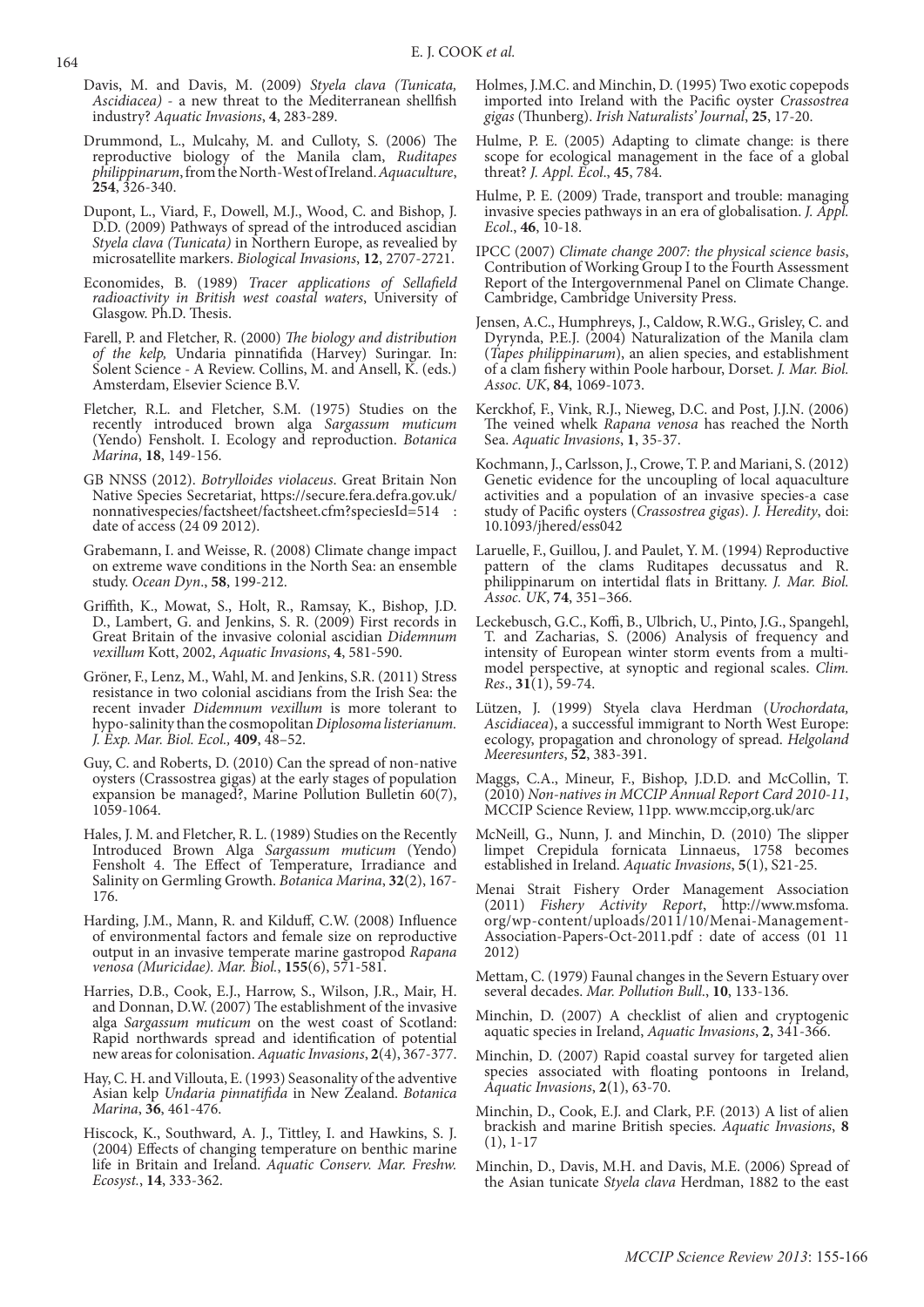- Davis, M. and Davis, M. (2009) *Styela clava (Tunicata, Ascidiacea)* - a new threat to the Mediterranean shellfish industry? *Aquatic Invasions*, **4**, 283-289.
- Drummond, L., Mulcahy, M. and Culloty, S. (2006) The reproductive biology of the Manila clam, *Ruditapes philippinarum*, from the North-West of Ireland. *Aquaculture*, **254**, 326-340.
- Dupont, L., Viard, F., Dowell, M.J., Wood, C. and Bishop, J. D.D. (2009) Pathways of spread of the introduced ascidian *Styela clava (Tunicata)* in Northern Europe, as revealied by microsatellite markers. *Biological Invasions*, **12**, 2707-2721.
- Economides, B. (1989) *Tracer applications of Sellafield radioactivity in British west coastal waters*, University of Glasgow. Ph.D. Thesis.
- Farell, P. and Fletcher, R. (2000) *The biology and distribution of the kelp,* Undaria pinnatifida (Harvey) Suringar. In: Solent Science - A Review. Collins, M. and Ansell, K. (eds.) Amsterdam, Elsevier Science B.V.
- Fletcher, R.L. and Fletcher, S.M. (1975) Studies on the recently introduced brown alga *Sargassum muticum*  (Yendo) Fensholt. I. Ecology and reproduction. *Botanica Marina*, **18**, 149-156.
- GB NNSS (2012). *Botrylloides violaceus*. Great Britain Non Native Species Secretariat, https://secure.fera.defra.gov.uk/ nonnativespecies/factsheet/factsheet.cfm?speciesId=514 : date of access (24 09 2012).
- Grabemann, I. and Weisse, R. (2008) Climate change impact on extreme wave conditions in the North Sea: an ensemble study. *Ocean Dyn*., **58**, 199-212.
- Griffith, K., Mowat, S., Holt, R., Ramsay, K., Bishop, J.D. D., Lambert, G. and Jenkins, S. R. (2009) First records in Great Britain of the invasive colonial ascidian *Didemnum vexillum* Kott, 2002, *Aquatic Invasions*, **4**, 581-590.
- Gröner, F., Lenz, M., Wahl, M. and Jenkins, S.R. (2011) Stress resistance in two colonial ascidians from the Irish Sea: the recent invader *Didemnum vexillum* is more tolerant to hypo-salinity than the cosmopolitan *Diplosoma listerianum. J. Exp. Mar. Biol. Ecol.,* **409**, 48–52.
- Guy, C. and Roberts, D. (2010) Can the spread of non-native oysters (Crassostrea gigas) at the early stages of population expansion be managed?, Marine Pollution Bulletin 60(7), 1059-1064.
- Hales, J. M. and Fletcher, R. L. (1989) Studies on the Recently Introduced Brown Alga *Sargassum muticum* (Yendo) Fensholt 4. The Effect of Temperature, Irradiance and Salinity on Germling Growth. *Botanica Marina*, **32**(2), 167- 176.
- Harding, J.M., Mann, R. and Kilduff, C.W. (2008) Influence of environmental factors and female size on reproductive output in an invasive temperate marine gastropod *Rapana venosa (Muricidae). Mar. Biol.*, **155**(6), 571-581.
- Harries, D.B., Cook, E.J., Harrow, S., Wilson, J.R., Mair, H. and Donnan, D.W. (2007) The establishment of the invasive alga *Sargassum muticum* on the west coast of Scotland: Rapid northwards spread and identification of potential new areas for colonisation. *Aquatic Invasions*, **2**(4), 367-377.
- Hay, C. H. and Villouta, E. (1993) Seasonality of the adventive Asian kelp *Undaria pinnatifida* in New Zealand. *Botanica Marina*, **36**, 461-476.
- Hiscock, K., Southward, A. J., Tittley, I. and Hawkins, S. J. (2004) Effects of changing temperature on benthic marine life in Britain and Ireland. *Aquatic Conserv. Mar. Freshw. Ecosyst.*, **14**, 333-362.
- Holmes, J.M.C. and Minchin, D. (1995) Two exotic copepods imported into Ireland with the Pacific oyster *Crassostrea gigas* (Thunberg). *Irish Naturalists' Journal*, **25**, 17-20.
- Hulme, P. E. (2005) Adapting to climate change: is there scope for ecological management in the face of a global threat? *J. Appl. Ecol*., **45**, 784.
- Hulme, P. E. (2009) Trade, transport and trouble: managing invasive species pathways in an era of globalisation. *J. Appl. Ecol*., **46**, 10-18.
- IPCC (2007) *Climate change 2007: the physical science basis*, Contribution of Working Group I to the Fourth Assessment Report of the Intergovernmenal Panel on Climate Change. Cambridge, Cambridge University Press.
- Jensen, A.C., Humphreys, J., Caldow, R.W.G., Grisley, C. and Dyrynda, P.E.J. (2004) Naturalization of the Manila clam (*Tapes philippinarum*), an alien species, and establishment of a clam fishery within Poole harbour, Dorset. *J. Mar. Biol. Assoc. UK*, **84**, 1069-1073.
- Kerckhof, F., Vink, R.J., Nieweg, D.C. and Post, J.J.N. (2006) The veined whelk *Rapana venosa* has reached the North Sea. *Aquatic Invasions*, **1**, 35-37.
- Kochmann, J., Carlsson, J., Crowe, T. P. and Mariani, S. (2012) Genetic evidence for the uncoupling of local aquaculture activities and a population of an invasive species-a case study of Pacific oysters (*Crassostrea gigas*). *J. Heredity*, doi: 10.1093/jhered/ess042
- Laruelle, F., Guillou, J. and Paulet, Y. M. (1994) Reproductive pattern of the clams Ruditapes decussatus and R. philippinarum on intertidal flats in Brittany. *J. Mar. Biol. Assoc. UK*, **74**, 351–366.
- Leckebusch, G.C., Koffi, B., Ulbrich, U., Pinto, J.G., Spangehl, T. and Zacharias, S. (2006) Analysis of frequency and intensity of European winter storm events from a multimodel perspective, at synoptic and regional scales. *Clim. Res*., **31**(1), 59-74.
- Lützen, J. (1999) Styela clava Herdman (*Urochordata, Ascidiacea*), a successful immigrant to North West Europe: ecology, propagation and chronology of spread. *Helgoland Meeresunters*, **52**, 383-391.
- Maggs, C.A., Mineur, F., Bishop, J.D.D. and McCollin, T. (2010) *Non-natives in MCCIP Annual Report Card 2010-11*, MCCIP Science Review, 11pp. www.mccip,org.uk/arc
- McNeill, G., Nunn, J. and Minchin, D. (2010) The slipper limpet Crepidula fornicata Linnaeus, 1758 becomes established in Ireland. *Aquatic Invasions*, **5**(1), S21-25.
- Menai Strait Fishery Order Management Association (2011) *Fishery Activity Report*, http://www.msfoma. org/wp-content/uploads/2011/10/Menai-Management-Association-Papers-Oct-2011.pdf : date of access (01 11 2012)
- Mettam, C. (1979) Faunal changes in the Severn Estuary over several decades. *Mar. Pollution Bull*., **10**, 133-136.
- Minchin, D. (2007) A checklist of alien and cryptogenic aquatic species in Ireland, *Aquatic Invasions*, **2**, 341-366.
- Minchin, D. (2007) Rapid coastal survey for targeted alien species associated with floating pontoons in Ireland, *Aquatic Invasions*, **2**(1), 63-70.
- Minchin, D., Cook, E.J. and Clark, P.F. (2013) A list of alien brackish and marine British species. *Aquatic Invasions*, **8** (1), 1-17
- Minchin, D., Davis, M.H. and Davis, M.E. (2006) Spread of the Asian tunicate *Styela clava* Herdman, 1882 to the east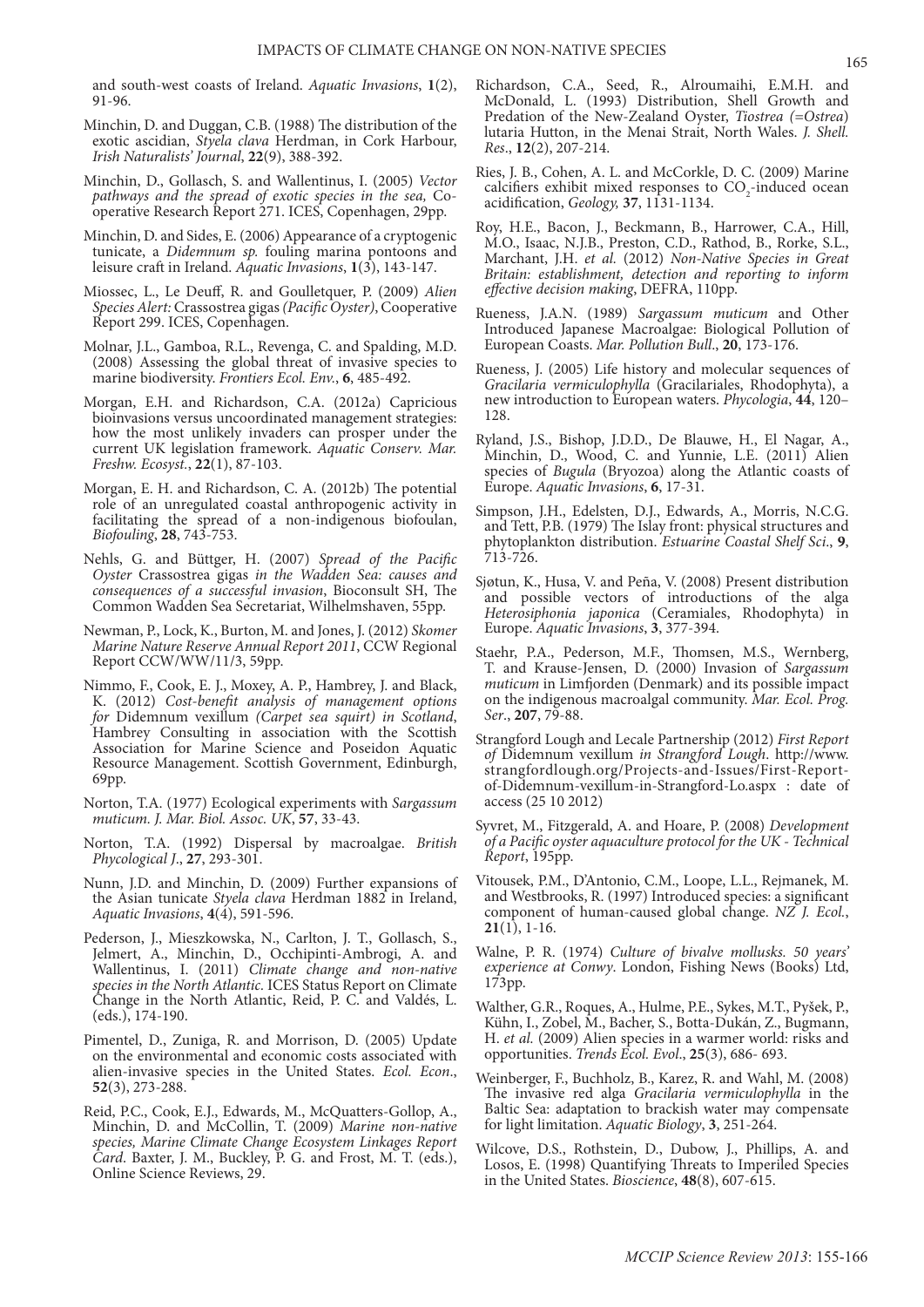and south-west coasts of Ireland. *Aquatic Invasions*, **1**(2), 91-96.

- Minchin, D. and Duggan, C.B. (1988) The distribution of the exotic ascidian, *Styela clava* Herdman, in Cork Harbour, *Irish Naturalists' Journal*, **22**(9), 388-392.
- Minchin, D., Gollasch, S. and Wallentinus, I. (2005) *Vector pathways and the spread of exotic species in the sea,* Cooperative Research Report 271. ICES, Copenhagen, 29pp.
- Minchin, D. and Sides, E. (2006) Appearance of a cryptogenic tunicate, a *Didemnum sp.* fouling marina pontoons and leisure craft in Ireland. *Aquatic Invasions*, **1**(3), 143-147.
- Miossec, L., Le Deuff, R. and Goulletquer, P. (2009) *Alien Species Alert:* Crassostrea gigas *(Pacific Oyster)*, Cooperative Report 299. ICES, Copenhagen.
- Molnar, J.L., Gamboa, R.L., Revenga, C. and Spalding, M.D. (2008) Assessing the global threat of invasive species to marine biodiversity. *Frontiers Ecol. Env.*, **6**, 485-492.
- Morgan, E.H. and Richardson, C.A. (2012a) Capricious bioinvasions versus uncoordinated management strategies: how the most unlikely invaders can prosper under the current UK legislation framework. *Aquatic Conserv. Mar. Freshw. Ecosyst.*, **22**(1), 87-103.
- Morgan, E. H. and Richardson, C. A. (2012b) The potential role of an unregulated coastal anthropogenic activity in facilitating the spread of a non-indigenous biofoulan, *Biofouling*, **28**, 743-753.
- Nehls, G. and Büttger, H. (2007) *Spread of the Pacific Oyster* Crassostrea gigas *in the Wadden Sea: causes and consequences of a successful invasion*, Bioconsult SH, The Common Wadden Sea Secretariat, Wilhelmshaven, 55pp.
- Newman, P., Lock, K., Burton, M. and Jones, J. (2012) *Skomer Marine Nature Reserve Annual Report 2011*, CCW Regional Report CCW/WW/11/3, 59pp.
- Nimmo, F., Cook, E. J., Moxey, A. P., Hambrey, J. and Black, K. (2012) *Cost-benefit analysis of management options for* Didemnum vexillum *(Carpet sea squirt) in Scotland*, Hambrey Consulting in association with the Scottish Association for Marine Science and Poseidon Aquatic Resource Management. Scottish Government, Edinburgh, 69pp.
- Norton, T.A. (1977) Ecological experiments with *Sargassum muticum. J. Mar. Biol. Assoc. UK*, **57**, 33-43.
- Norton, T.A. (1992) Dispersal by macroalgae. *British Phycological J*., **27**, 293-301.
- Nunn, J.D. and Minchin, D. (2009) Further expansions of the Asian tunicate *Styela clava* Herdman 1882 in Ireland, *Aquatic Invasions*, **4**(4), 591-596.
- Pederson, J., Mieszkowska, N., Carlton, J. T., Gollasch, S., Jelmert, A., Minchin, D., Occhipinti-Ambrogi, A. and Wallentinus, I. (2011) *Climate change and non-native species in the North Atlantic.* ICES Status Report on Climate Change in the North Atlantic, Reid, P. C. and Valdés, L. (eds.), 174-190.
- Pimentel, D., Zuniga, R. and Morrison, D. (2005) Update on the environmental and economic costs associated with alien-invasive species in the United States. *Ecol. Econ*., **52**(3), 273-288.
- Reid, P.C., Cook, E.J., Edwards, M., McQuatters-Gollop, A., Minchin, D. and McCollin, T. (2009) *Marine non-native species, Marine Climate Change Ecosystem Linkages Report Card*. Baxter, J. M., Buckley, P. G. and Frost, M. T. (eds.), Online Science Reviews, 29.
- Richardson, C.A., Seed, R., Alroumaihi, E.M.H. and McDonald, L. (1993) Distribution, Shell Growth and Predation of the New-Zealand Oyster, *Tiostrea (=Ostrea*) lutaria Hutton, in the Menai Strait, North Wales. *J. Shell. Res*., **12**(2), 207-214.
- Ries, J. B., Cohen, A. L. and McCorkle, D. C. (2009) Marine calcifiers exhibit mixed responses to  $CO_2$ -induced ocean acidification, *Geology,* **37**, 1131-1134.
- Roy, H.E., Bacon, J., Beckmann, B., Harrower, C.A., Hill, M.O., Isaac, N.J.B., Preston, C.D., Rathod, B., Rorke, S.L., Marchant, J.H. *et al.* (2012) *Non-Native Species in Great Britain: establishment, detection and reporting to inform effective decision making*, DEFRA, 110pp.
- Rueness, J.A.N. (1989) *Sargassum muticum* and Other Introduced Japanese Macroalgae: Biological Pollution of European Coasts. *Mar. Pollution Bull*., **20**, 173-176.
- Rueness, J. (2005) Life history and molecular sequences of *Gracilaria vermiculophylla* (Gracilariales, Rhodophyta), a new introduction to European waters. *Phycologia*, **44**, 120– 128.
- Ryland, J.S., Bishop, J.D.D., De Blauwe, H., El Nagar, A., Minchin, D., Wood, C. and Yunnie, L.E. (2011) Alien species of *Bugula* (Bryozoa) along the Atlantic coasts of Europe. *Aquatic Invasions*, **6**, 17-31.
- Simpson, J.H., Edelsten, D.J., Edwards, A., Morris, N.C.G. and Tett, P.B. (1979) The Islay front: physical structures and phytoplankton distribution. *Estuarine Coastal Shelf Sci*., **9**, 713-726.
- Sjøtun, K., Husa, V. and Peña, V. (2008) Present distribution and possible vectors of introductions of the alga *Heterosiphonia japonica* (Ceramiales, Rhodophyta) in Europe. *Aquatic Invasions*, **3**, 377-394.
- Staehr, P.A., Pederson, M.F., Thomsen, M.S., Wernberg, T. and Krause-Jensen, D. (2000) Invasion of *Sargassum muticum* in Limfjorden (Denmark) and its possible impact on the indigenous macroalgal community. *Mar. Ecol. Prog. Ser*., **207**, 79-88.
- Strangford Lough and Lecale Partnership (2012) *First Report of* Didemnum vexillum *in Strangford Lough*. http://www. strangfordlough.org/Projects-and-Issues/First-Reportof-Didemnum-vexillum-in-Strangford-Lo.aspx : date of access (25 10 2012)
- Syvret, M., Fitzgerald, A. and Hoare, P. (2008) *Development of a Pacific oyster aquaculture protocol for the UK - Technical Report*, 195pp.
- Vitousek, P.M., D'Antonio, C.M., Loope, L.L., Rejmanek, M. and Westbrooks, R. (1997) Introduced species: a significant component of human-caused global change. *NZ J. Ecol.*, **21**(1), 1-16.
- Walne, P. R. (1974) *Culture of bivalve mollusks. 50 years' experience at Conwy*. London, Fishing News (Books) Ltd, 173pp.
- Walther, G.R., Roques, A., Hulme, P.E., Sykes, M.T., Pyšek, P., Kühn, I., Zobel, M., Bacher, S., Botta-Dukán, Z., Bugmann, H. *et al.* (2009) Alien species in a warmer world: risks and opportunities. *Trends Ecol. Evol*., **25**(3), 686- 693.
- Weinberger, F., Buchholz, B., Karez, R. and Wahl, M. (2008) The invasive red alga *Gracilaria vermiculophylla* in the Baltic Sea: adaptation to brackish water may compensate for light limitation. *Aquatic Biology*, **3**, 251-264.
- Wilcove, D.S., Rothstein, D., Dubow, J., Phillips, A. and Losos, E. (1998) Quantifying Threats to Imperiled Species in the United States. *Bioscience*, **48**(8), 607-615.